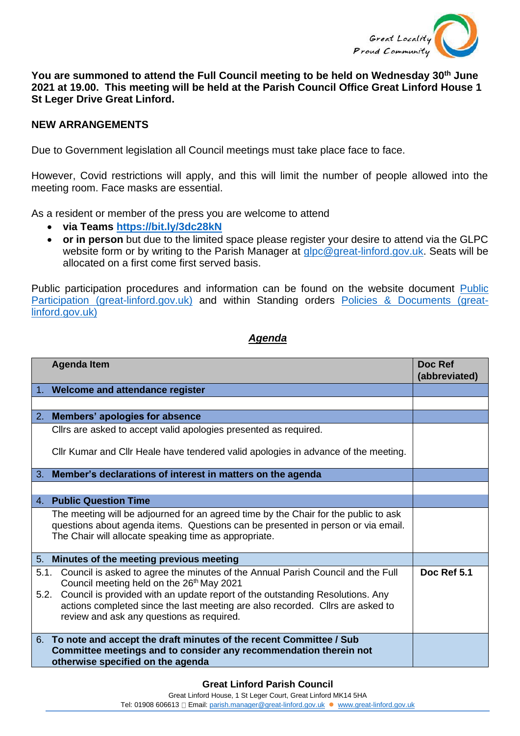

**You are summoned to attend the Full Council meeting to be held on Wednesday 30th June 2021 at 19.00. This meeting will be held at the Parish Council Office Great Linford House 1 St Leger Drive Great Linford.**

## **NEW ARRANGEMENTS**

Due to Government legislation all Council meetings must take place face to face.

However, Covid restrictions will apply, and this will limit the number of people allowed into the meeting room. Face masks are essential.

As a resident or member of the press you are welcome to attend

- **via Teams <https://bit.ly/3dc28kN>**
- **or in person** but due to the limited space please register your desire to attend via the GLPC website form or by writing to the Parish Manager at [glpc@great-linford.gov.uk.](mailto:glpc@great-linford.gov.uk) Seats will be allocated on a first come first served basis.

Public participation procedures and information can be found on the website document [Public](https://www.great-linford.gov.uk/council-meetings/public-participation/)  [Participation \(great-linford.gov.uk\)](https://www.great-linford.gov.uk/council-meetings/public-participation/) and within Standing orders [Policies & Documents \(great](https://www.great-linford.gov.uk/the-parish-council/policies-documents/)[linford.gov.uk\)](https://www.great-linford.gov.uk/the-parish-council/policies-documents/)

## *Agenda*

|              | <b>Agenda Item</b>                                                                                                                                                                                                                                                                                                                                       | Doc Ref<br>(abbreviated) |
|--------------|----------------------------------------------------------------------------------------------------------------------------------------------------------------------------------------------------------------------------------------------------------------------------------------------------------------------------------------------------------|--------------------------|
|              | 1. Welcome and attendance register                                                                                                                                                                                                                                                                                                                       |                          |
|              |                                                                                                                                                                                                                                                                                                                                                          |                          |
|              | 2. Members' apologies for absence                                                                                                                                                                                                                                                                                                                        |                          |
|              | Clirs are asked to accept valid apologies presented as required.                                                                                                                                                                                                                                                                                         |                          |
|              | CIIr Kumar and CIIr Heale have tendered valid apologies in advance of the meeting.                                                                                                                                                                                                                                                                       |                          |
| 3.           | Member's declarations of interest in matters on the agenda                                                                                                                                                                                                                                                                                               |                          |
|              |                                                                                                                                                                                                                                                                                                                                                          |                          |
|              | 4. Public Question Time                                                                                                                                                                                                                                                                                                                                  |                          |
|              | The meeting will be adjourned for an agreed time by the Chair for the public to ask<br>questions about agenda items. Questions can be presented in person or via email.<br>The Chair will allocate speaking time as appropriate.                                                                                                                         |                          |
|              | 5. Minutes of the meeting previous meeting                                                                                                                                                                                                                                                                                                               |                          |
| 5.1.<br>5.2. | Council is asked to agree the minutes of the Annual Parish Council and the Full<br>Council meeting held on the 26 <sup>th</sup> May 2021<br>Council is provided with an update report of the outstanding Resolutions. Any<br>actions completed since the last meeting are also recorded. Cllrs are asked to<br>review and ask any questions as required. | Doc Ref 5.1              |
|              | 6. To note and accept the draft minutes of the recent Committee / Sub<br>Committee meetings and to consider any recommendation therein not<br>otherwise specified on the agenda                                                                                                                                                                          |                          |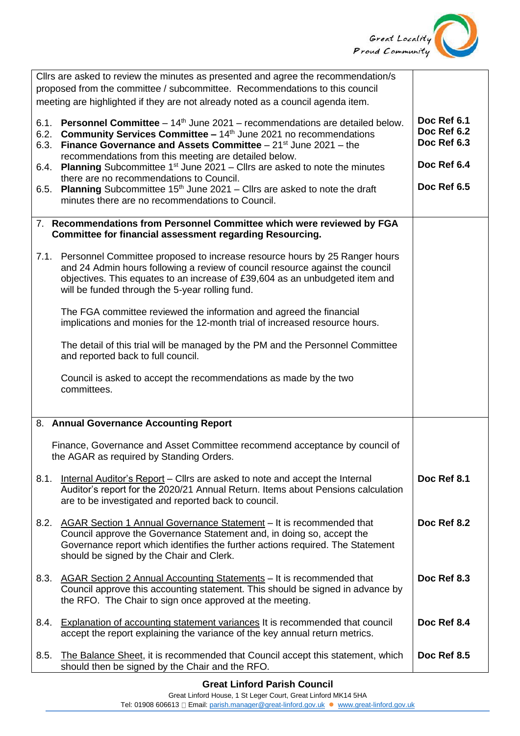

| Cllrs are asked to review the minutes as presented and agree the recommendation/s<br>proposed from the committee / subcommittee. Recommendations to this council<br>meeting are highlighted if they are not already noted as a council agenda item.                                                 |                                           |
|-----------------------------------------------------------------------------------------------------------------------------------------------------------------------------------------------------------------------------------------------------------------------------------------------------|-------------------------------------------|
| <b>Personnel Committee</b> $-14$ <sup>th</sup> June 2021 – recommendations are detailed below.<br>6.1.<br>Community Services Committee - 14th June 2021 no recommendations<br>6.2.<br><b>Finance Governance and Assets Committee</b> $-21^{st}$ June 2021 – the<br>6.3.                             | Doc Ref 6.1<br>Doc Ref 6.2<br>Doc Ref 6.3 |
| recommendations from this meeting are detailed below.<br><b>Planning</b> Subcommittee $1st$ June 2021 – Cllrs are asked to note the minutes<br>6.4.                                                                                                                                                 | Doc Ref 6.4                               |
| there are no recommendations to Council.<br><b>Planning</b> Subcommittee $15th$ June 2021 – Cllrs are asked to note the draft<br>6.5.<br>minutes there are no recommendations to Council.                                                                                                           | Doc Ref 6.5                               |
| 7. Recommendations from Personnel Committee which were reviewed by FGA<br><b>Committee for financial assessment regarding Resourcing.</b>                                                                                                                                                           |                                           |
| 7.1. Personnel Committee proposed to increase resource hours by 25 Ranger hours<br>and 24 Admin hours following a review of council resource against the council<br>objectives. This equates to an increase of £39,604 as an unbudgeted item and<br>will be funded through the 5-year rolling fund. |                                           |
| The FGA committee reviewed the information and agreed the financial<br>implications and monies for the 12-month trial of increased resource hours.                                                                                                                                                  |                                           |
| The detail of this trial will be managed by the PM and the Personnel Committee<br>and reported back to full council.                                                                                                                                                                                |                                           |
| Council is asked to accept the recommendations as made by the two<br>committees.                                                                                                                                                                                                                    |                                           |
| 8. Annual Governance Accounting Report                                                                                                                                                                                                                                                              |                                           |
| Finance, Governance and Asset Committee recommend acceptance by council of<br>the AGAR as required by Standing Orders.                                                                                                                                                                              |                                           |
| 8.1.<br>Internal Auditor's Report - Clirs are asked to note and accept the Internal<br>Auditor's report for the 2020/21 Annual Return. Items about Pensions calculation<br>are to be investigated and reported back to council.                                                                     | Doc Ref 8.1                               |
| 8.2.<br>AGAR Section 1 Annual Governance Statement - It is recommended that<br>Council approve the Governance Statement and, in doing so, accept the<br>Governance report which identifies the further actions required. The Statement<br>should be signed by the Chair and Clerk.                  | Doc Ref 8.2                               |
| AGAR Section 2 Annual Accounting Statements - It is recommended that<br>8.3.<br>Council approve this accounting statement. This should be signed in advance by<br>the RFO. The Chair to sign once approved at the meeting.                                                                          | Doc Ref 8.3                               |
| Explanation of accounting statement variances It is recommended that council<br>8.4.<br>accept the report explaining the variance of the key annual return metrics.                                                                                                                                 | Doc Ref 8.4                               |
| The Balance Sheet, it is recommended that Council accept this statement, which<br>8.5.<br>should then be signed by the Chair and the RFO.                                                                                                                                                           | Doc Ref 8.5                               |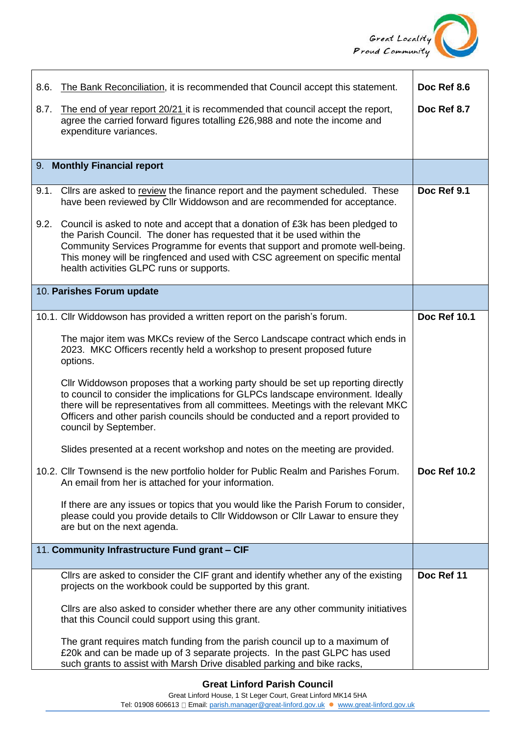

| 8.6. | The Bank Reconciliation, it is recommended that Council accept this statement.                                                                                                                                                                                                                                                                                            | Doc Ref 8.6         |
|------|---------------------------------------------------------------------------------------------------------------------------------------------------------------------------------------------------------------------------------------------------------------------------------------------------------------------------------------------------------------------------|---------------------|
| 8.7. | The end of year report 20/21 it is recommended that council accept the report,<br>agree the carried forward figures totalling £26,988 and note the income and<br>expenditure variances.                                                                                                                                                                                   | Doc Ref 8.7         |
|      | 9. Monthly Financial report                                                                                                                                                                                                                                                                                                                                               |                     |
| 9.1. | Cllrs are asked to review the finance report and the payment scheduled. These<br>have been reviewed by Cllr Widdowson and are recommended for acceptance.                                                                                                                                                                                                                 | Doc Ref 9.1         |
|      | 9.2. Council is asked to note and accept that a donation of £3k has been pledged to<br>the Parish Council. The doner has requested that it be used within the<br>Community Services Programme for events that support and promote well-being.<br>This money will be ringfenced and used with CSC agreement on specific mental<br>health activities GLPC runs or supports. |                     |
|      | 10. Parishes Forum update                                                                                                                                                                                                                                                                                                                                                 |                     |
|      | 10.1. Cllr Widdowson has provided a written report on the parish's forum.                                                                                                                                                                                                                                                                                                 | <b>Doc Ref 10.1</b> |
|      | The major item was MKCs review of the Serco Landscape contract which ends in<br>2023. MKC Officers recently held a workshop to present proposed future<br>options.                                                                                                                                                                                                        |                     |
|      | CIIr Widdowson proposes that a working party should be set up reporting directly<br>to council to consider the implications for GLPCs landscape environment. Ideally<br>there will be representatives from all committees. Meetings with the relevant MKC<br>Officers and other parish councils should be conducted and a report provided to<br>council by September.     |                     |
|      | Slides presented at a recent workshop and notes on the meeting are provided.                                                                                                                                                                                                                                                                                              |                     |
|      | 10.2. Cllr Townsend is the new portfolio holder for Public Realm and Parishes Forum.<br>An email from her is attached for your information.                                                                                                                                                                                                                               | <b>Doc Ref 10.2</b> |
|      | If there are any issues or topics that you would like the Parish Forum to consider,<br>please could you provide details to Cllr Widdowson or Cllr Lawar to ensure they<br>are but on the next agenda.                                                                                                                                                                     |                     |
|      | 11. Community Infrastructure Fund grant - CIF                                                                                                                                                                                                                                                                                                                             |                     |
|      | Cllrs are asked to consider the CIF grant and identify whether any of the existing<br>projects on the workbook could be supported by this grant.                                                                                                                                                                                                                          | Doc Ref 11          |
|      | Cllrs are also asked to consider whether there are any other community initiatives<br>that this Council could support using this grant.                                                                                                                                                                                                                                   |                     |
|      | The grant requires match funding from the parish council up to a maximum of<br>£20k and can be made up of 3 separate projects. In the past GLPC has used<br>such grants to assist with Marsh Drive disabled parking and bike racks,                                                                                                                                       |                     |